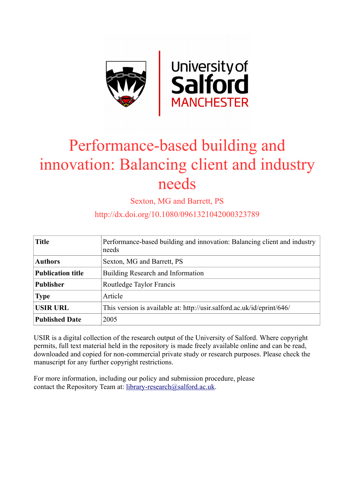

# Performance-based building and innovation: Balancing client and industry needs

Sexton, MG and Barrett, PS

http://dx.doi.org/10.1080/0961321042000323789

| <b>Title</b>             | Performance-based building and innovation: Balancing client and industry<br>needs |
|--------------------------|-----------------------------------------------------------------------------------|
| <b>Authors</b>           | Sexton, MG and Barrett, PS                                                        |
| <b>Publication title</b> | <b>Building Research and Information</b>                                          |
| <b>Publisher</b>         | Routledge Taylor Francis                                                          |
| <b>Type</b>              | Article                                                                           |
| <b>USIR URL</b>          | This version is available at: http://usir.salford.ac.uk/id/eprint/646/            |
| <b>Published Date</b>    | 2005                                                                              |

USIR is a digital collection of the research output of the University of Salford. Where copyright permits, full text material held in the repository is made freely available online and can be read, downloaded and copied for non-commercial private study or research purposes. Please check the manuscript for any further copyright restrictions.

For more information, including our policy and submission procedure, please contact the Repository Team at: [library-research@salford.ac.uk.](mailto:library-research@salford.ac.uk)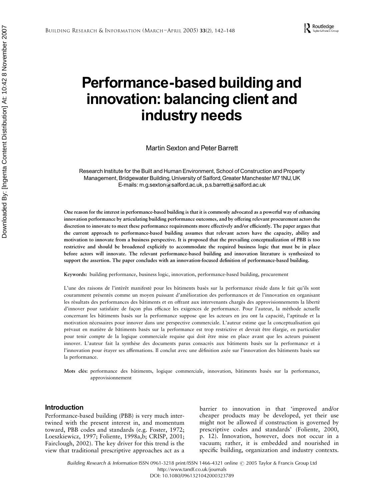# Performance-based building and innovation: balancing client and industry needs

Martin Sexton and Peter Barrett

Research Institute for the Built and Human Environment, School of Construction and Property Management, Bridgewater Building, University of Salford, Greater Manchester M71NU, UK E-mails: m.g.sexton@salford.ac.uk, p.s.barrett@salford.ac.uk

One reason for the interest in performance-based building is that it is commonly advocated as a powerful way of enhancing innovation performance by articulating building performance outcomes, and by offering relevant procurement actors the discretion to innovate to meet these performance requirements more effectively and/or efficiently. The paper argues that the current approach to performance-based building assumes that relevant actors have the capacity, ability and motivation to innovate from a business perspective. It is proposed that the prevailing conceptualization of PBB is too restrictive and should be broadened explicitly to accommodate the required business logic that must be in place before actors will innovate. The relevant performance-based building and innovation literature is synthesized to support the assertion. The paper concludes with an innovation-focused definition of performance-based building.

Keywords: building performance, business logic, innovation, performance-based building, procurement

L'une des raisons de l'intérêt manifesté pour les bâtiments basés sur la performance réside dans le fait qu'ils sont couramment présentés comme un moyen puissant d'amélioration des performances et de l'innovation en organisant les résultats des performances des bâtiments et en offrant aux intervenants chargés des approvisionnements la liberté d'innover pour satisfaire de façon plus efficace les exigences de performance. Pour l'auteur, la méthode actuelle concernant les bâtiments basés sur la performance suppose que les acteurs en jeu ont la capacité, l'aptitude et la motivation nécessaires pour innover dans une perspective commerciale. L'auteur estime que la conceptualisation qui prévaut en matière de bâtiments basés sur la performance est trop restrictive et devrait être élargie, en particulier pour tenir compte de la logique commerciale requise qui doit être mise en place avant que les acteurs puissent innover. L'auteur fait la synthèse des documents parus consacrés aux bâtiments basés sur la performance et à l'innovation pour étayer ses affirmations. Il conclut avec une définition axée sur l'innovation des bâtiments basés sur la performance.

Mots clés: performance des bâtiments, logique commerciale, innovation, bâtiments basés sur la performance, approvisionnement

# Introduction

Performance-based building (PBB) is very much intertwined with the present interest in, and momentum toward, PBB codes and standards (e.g. Foster, 1972; Loeszkiewicz, 1997; Foliente, 1998a,b; CRISP, 2001; Fairclough, 2002). The key driver for this trend is the view that traditional prescriptive approaches act as a

barrier to innovation in that 'improved and/or cheaper products may be developed, yet their use might not be allowed if construction is governed by prescriptive codes and standards' (Foliente, 2000, p. 12). Innovation, however, does not occur in a vacuum; rather, it is embedded and nourished in specific building, organization and industry contexts.

Building Research & Information ISSN 0961-3218 print/ISSN 1466-4321 online  $\odot$  2005 Taylor & Francis Group Ltd http: ⁄ ⁄www.tandf.co.uk ⁄journals DOI: 10.1080/0961321042000323789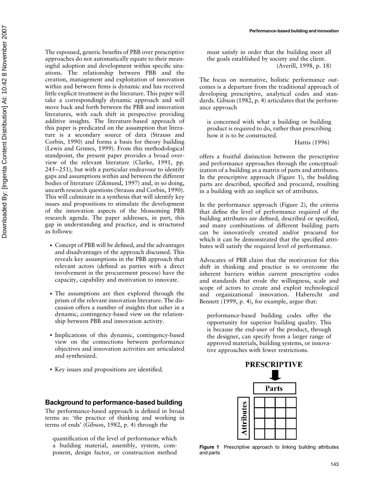The espoused, generic benefits of PBB over prescriptive approaches do not automatically equate to their meaningful adoption and development within specific situations. The relationship between PBB and the creation, management and exploitation of innovation within and between firms is dynamic and has received little explicit treatment in the literature. This paper will take a correspondingly dynamic approach and will move back and forth between the PBB and innovation literatures, with each shift in perspective providing additive insights. The literature-based approach of this paper is predicated on the assumption that literature is a secondary source of data (Strauss and Corbin, 1990) and forms a basis for theory building (Lewis and Grimes, 1999). From this methodological standpoint, the present paper provides a broad overview of the relevant literature (Clarke, 1991, pp. 245–251), but with a particular endeavour to identify gaps and assumptions within and between the different bodies of literature (Zikmund, 1997) and, in so doing, unearth research questions (Strauss and Corbin, 1990). This will culminate in a synthesis that will identify key issues and propositions to stimulate the development of the innovation aspects of the blossoming PBB research agenda. The paper addresses, in part, this gap in understanding and practice, and is structured as follows:

- . Concept of PBB will be defined, and the advantages and disadvantages of the approach discussed. This reveals key assumptions in the PBB approach that relevant actors (defined as parties with a direct involvement in the procurement process) have the capacity, capability and motivation to innovate.
- . The assumptions are then explored through the prism of the relevant innovation literature. The discussion offers a number of insights that usher in a dynamic, contingency-based view on the relationship between PBB and innovation activity.
- . Implications of this dynamic, contingency-based view on the connections between performance objectives and innovation activities are articulated and synthesized.
- . Key issues and propositions are identified.

# Background to performance-based building

The performance-based approach is defined in broad terms as: 'the practice of thinking and working in terms of ends' (Gibson, 1982, p. 4) through the

quantification of the level of performance which a building material, assembly, system, component, design factor, or construction method must satisfy in order that the building meet all the goals established by society and the client. (Averill, 1998, p. 18)

The focus on normative, holistic performance outcomes is a departure from the traditional approach of developing prescriptive, analytical codes and standards. Gibson (1982, p. 4) articulates that the performance approach

is concerned with what a building or building product is required to do, rather than prescribing how it is to be constructed.

Hattis (1996)

offers a fruitful distinction between the prescriptive and performance approaches through the conceptualization of a building as a matrix of parts and attributes. In the prescriptive approach (Figure 1), the building parts are described, specified and procured, resulting in a building with an implicit set of attributes.

In the performance approach (Figure 2), the criteria that define the level of performance required of the building attributes are defined, described or specified, and many combinations of different building parts can be innovatively created and/or procured for which it can be demonstrated that the specified attributes will satisfy the required level of performance.

Advocates of PBB claim that the motivation for this shift in thinking and practice is to overcome the inherent barriers within current prescriptive codes and standards that erode the willingness, scale and scope of actors to create and exploit technological and organizational innovation. Haberecht and Bennett (1999, p. 4), for example, argue that:

performance-based building codes offer the opportunity for superior building quality. This is because the end-user of the product, through the designer, can specify from a larger range of approved materials, building systems, or innovative approaches with fewer restrictions.



Figure 1 Prescriptive approach to linking building attributes and parts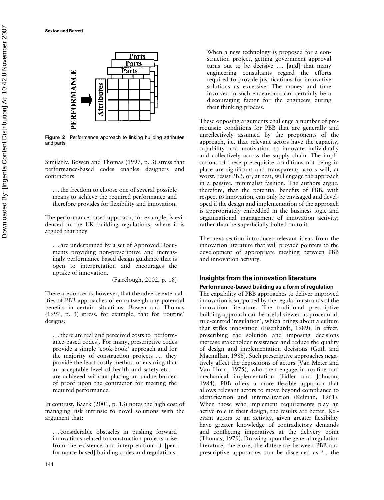

Figure 2 Performance approach to linking building attributes and parts

Similarly, Bowen and Thomas (1997, p. 3) stress that performance-based codes enables designers and contractors

... the freedom to choose one of several possible means to achieve the required performance and therefore provides for flexibility and innovation.

The performance-based approach, for example, is evidenced in the UK building regulations, where it is argued that they

... are underpinned by a set of Approved Documents providing non-prescriptive and increasingly performance based design guidance that is open to interpretation and encourages the uptake of innovation.

(Fairclough, 2002, p. 18)

There are concerns, however, that the adverse externalities of PBB approaches often outweigh any potential benefits in certain situations. Bowen and Thomas (1997, p. 3) stress, for example, that for 'routine' designs:

... there are real and perceived costs to [performance-based codes]. For many, prescriptive codes provide a simple 'cook-book' approach and for the majority of construction projects ... they provide the least costly method of ensuring that an acceptable level of health and safety etc. – are achieved without placing an undue burden of proof upon the contractor for meeting the required performance.

In contrast, Baark (2001, p. 13) notes the high cost of managing risk intrinsic to novel solutions with the argument that:

... considerable obstacles in pushing forward innovations related to construction projects arise from the existence and interpretation of [performance-based] building codes and regulations. When a new technology is proposed for a construction project, getting government approval turns out to be decisive ... [and] that many engineering consultants regard the efforts required to provide justifications for innovative solutions as excessive. The money and time involved in such endeavours can certainly be a discouraging factor for the engineers during their thinking process.

These opposing arguments challenge a number of prerequisite conditions for PBB that are generally and unreflectively assumed by the proponents of the approach, i.e. that relevant actors have the capacity, capability and motivation to innovate individually and collectively across the supply chain. The implications of these prerequisite conditions not being in place are significant and transparent; actors will, at worst, resist PBB, or, at best, will engage the approach in a passive, minimalist fashion. The authors argue, therefore, that the potential benefits of PBB, with respect to innovation, can only be envisaged and developed if the design and implementation of the approach is appropriately embedded in the business logic and organizational management of innovation activity; rather than be superficially bolted on to it.

The next section introduces relevant ideas from the innovation literature that will provide pointers to the development of appropriate meshing between PBB and innovation activity.

# Insights from the innovation literature

# Performance-based building as a form of regulation

The capability of PBB approaches to deliver improved innovation is supported by the regulation strands of the innovation literature. The traditional prescriptive building approach can be useful viewed as procedural, rule-centred 'regulation', which brings about a culture that stifles innovation (Eisenhardt, 1989). In effect, prescribing the solution and imposing decisions increase stakeholder resistance and reduce the quality of design and implementation decisions (Guth and Macmillan, 1986). Such prescriptive approaches negatively affect the depositions of actors (Van Meter and Van Horn, 1975), who then engage in routine and mechanical implementation (Fidler and Johnson, 1984). PBB offers a more flexible approach that allows relevant actors to move beyond compliance to identification and internalization (Kelman, 1961). When those who implement requirements play an active role in their design, the results are better. Relevant actors to an activity, given greater flexibility have greater knowledge of contradictory demands and conflicting imperatives at the delivery point (Thomas, 1979). Drawing upon the general regulation literature, therefore, the difference between PBB and prescriptive approaches can be discerned as '... the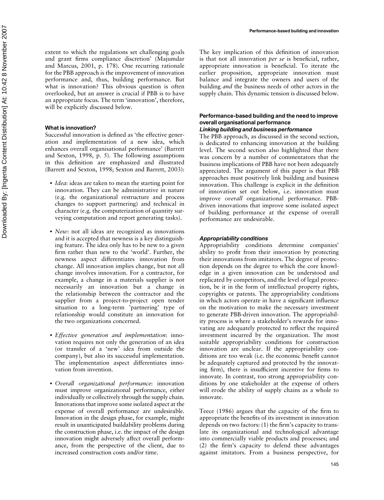extent to which the regulations set challenging goals and grant firms compliance discretion' (Majumdar and Marcus, 2001, p. 178). One recurring rationale for the PBB approach is the improvement of innovation performance and, thus, building performance. But what is innovation? This obvious question is often overlooked, but an answer is crucial if PBB is to have an appropriate focus. The term 'innovation', therefore, will be explicitly discussed below.

#### What is innovation?

Successful innovation is defined as 'the effective generation and implementation of a new idea, which enhances overall organisational performance' (Barrett and Sexton, 1998, p. 5). The following assumptions in this definition are emphasized and illustrated (Barrett and Sexton, 1998; Sexton and Barrett, 2003):

- . Idea: ideas are taken to mean the starting point for innovation. They can be administrative in nature (e.g. the organizational restructure and process changes to support partnering) and technical in character (e.g. the computerization of quantity surveying computation and report generating tasks).
- New: not all ideas are recognized as innovations and it is accepted that newness is a key distinguishing feature. The idea only has to be new to a given firm rather than new to the 'world'. Further, the newness aspect differentiates innovation from change. All innovation implies change, but not all change involves innovation. For a contractor, for example, a change in a materials supplier is not necessarily an innovation but a change in the relationship between the contractor and the supplier from a project-to-project open tender situation to a long-term 'partnering' type of relationship would constitute an innovation for the two organizations concerned.
- . Effective generation and implementation: innovation requires not only the generation of an idea (or transfer of a 'new' idea from outside the company), but also its successful implementation. The implementation aspect differentiates innovation from invention.
- . Overall organizational performance: innovation must improve organizational performance, either individually or collectively through the supply chain. Innovations that improve some isolated aspect at the expense of overall performance are undesirable. Innovation in the design phase, for example, might result in unanticipated buildability problems during the construction phase, i.e. the impact of the design innovation might adversely affect overall performance, from the perspective of the client, due to increased construction costs and/or time.

The key implication of this definition of innovation is that not all innovation per se is beneficial, rather, appropriate innovation is beneficial. To iterate the earlier proposition, appropriate innovation must balance and integrate the owners and users of the building and the business needs of other actors in the supply chain. This dynamic tension is discussed below.

# Performance-based building and the need to improve overall organisational performance

# Linking building and business performance

The PBB approach, as discussed in the second section, is dedicated to enhancing innovation at the building level. The second section also highlighted that there was concern by a number of commentators that the business implications of PBB have not been adequately appreciated. The argument of this paper is that PBB approaches must positively link building and business innovation. This challenge is explicit in the definition of innovation set out below, i.e. innovation must improve overall organizational performance. PBBdriven innovations that improve some isolated aspect of building performance at the expense of overall performance are undesirable.

## Appropriability conditions

Appropriability conditions determine companies' ability to profit from their innovation by protecting their innovations from imitators. The degree of protection depends on the degree to which the core knowledge in a given innovation can be understood and replicated by competitors, and the level of legal protection, be it in the form of intellectual property rights, copyrights or patents. The appropriability conditions in which actors operate in have a significant influence on the motivation to make the necessary investment to generate PBB-driven innovation. The appropriability process is where a stakeholder's rewards for innovating are adequately protected to reflect the required investment incurred by the organization. The most suitable appropriability conditions for construction innovation are unclear. If the appropriability conditions are too weak (i.e. the economic benefit cannot be adequately captured and protected by the innovating firm), there is insufficient incentive for firms to innovate. In contrast, too strong appropriability conditions by one stakeholder at the expense of others will erode the ability of supply chains as a whole to innovate.

Teece (1986) argues that the capacity of the firm to appropriate the benefits of its investment in innovation depends on two factors: (1) the firm's capacity to translate its organizational and technological advantage into commercially viable products and processes; and (2) the firm's capacity to defend these advantages against imitators. From a business perspective, for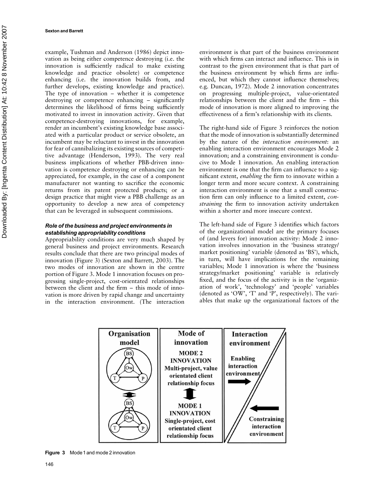example, Tushman and Anderson (1986) depict innovation as being either competence destroying (i.e. the innovation is sufficiently radical to make existing knowledge and practice obsolete) or competence enhancing (i.e. the innovation builds from, and further develops, existing knowledge and practice). The type of innovation – whether it is competence destroying or competence enhancing – significantly determines the likelihood of firms being sufficiently motivated to invest in innovation activity. Given that competence-destroying innovations, for example, render an incumbent's existing knowledge base associated with a particular product or service obsolete, an incumbent may be reluctant to invest in the innovation for fear of cannibalizing its existing sources of competitive advantage (Henderson, 1993). The very real business implications of whether PBB-driven innovation is competence destroying or enhancing can be appreciated, for example, in the case of a component manufacturer not wanting to sacrifice the economic returns from its patent protected products; or a design practice that might view a PBB challenge as an opportunity to develop a new area of competency that can be leveraged in subsequent commissions.

# Role of the business and project environments in establishing appropriability conditions

Appropriability conditions are very much shaped by general business and project environments. Research results conclude that there are two principal modes of innovation (Figure 3) (Sexton and Barrett, 2003). The two modes of innovation are shown in the centre portion of Figure 3. Mode 1 innovation focuses on progressing single-project, cost-orientated relationships between the client and the firm – this mode of innovation is more driven by rapid change and uncertainty in the interaction environment. (The interaction environment is that part of the business environment with which firms can interact and influence. This is in contrast to the given environment that is that part of the business environment by which firms are influenced, but which they cannot influence themselves; e.g. Duncan, 1972). Mode 2 innovation concentrates on progressing multiple-project, value-orientated relationships between the client and the firm – this mode of innovation is more aligned to improving the effectiveness of a firm's relationship with its clients.

The right-hand side of Figure 3 reinforces the notion that the mode of innovation is substantially determined by the nature of the interaction environment: an enabling interaction environment encourages Mode 2 innovation; and a constraining environment is conducive to Mode 1 innovation. An enabling interaction environment is one that the firm can influence to a significant extent, enabling the firm to innovate within a longer term and more secure context. A constraining interaction environment is one that a small construction firm can only influence to a limited extent, constraining the firm to innovation activity undertaken within a shorter and more insecure context.

The left-hand side of Figure 3 identifies which factors of the organizational model are the primary focuses of (and levers for) innovation activity: Mode 2 innovation involves innovation in the 'business strategy/ market positioning' variable (denoted as 'BS'), which, in turn, will have implications for the remaining variables; Mode 1 innovation is where the 'business strategy/market positioning' variable is relatively fixed, and the focus of the activity is in the 'organization of work', 'technology' and 'people' variables (denoted as 'OW', 'T' and 'P', respectively). The variables that make up the organizational factors of the



Figure 3 Mode 1 and mode 2 innovation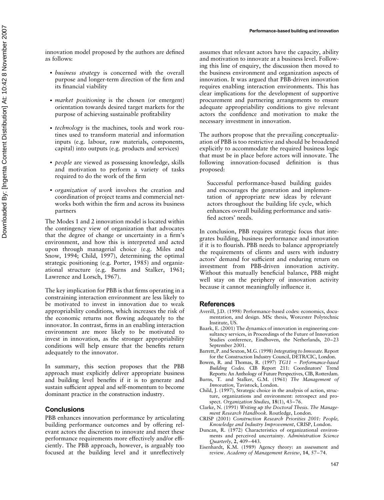Downloaded By: [Ingenta Content Distribution] At: 10:42 8 November 2007

innovation model proposed by the authors are defined as follows:

- . business strategy is concerned with the overall purpose and longer-term direction of the firm and its financial viability
- . market positioning is the chosen (or emergent) orientation towards desired target markets for the purpose of achieving sustainable profitability
- technology is the machines, tools and work routines used to transform material and information inputs (e.g. labour, raw materials, components, capital) into outputs (e.g. products and services)
- . people are viewed as possessing knowledge, skills and motivation to perform a variety of tasks required to do the work of the firm
- . organization of work involves the creation and coordination of project teams and commercial networks both within the firm and across its business partners

The Modes 1 and 2 innovation model is located within the contingency view of organization that advocates that the degree of change or uncertainty in a firm's environment, and how this is interpreted and acted upon through managerial choice (e.g. Miles and Snow, 1994; Child, 1997), determining the optimal strategic positioning (e.g. Porter, 1985) and organizational structure (e.g. Burns and Stalker, 1961; Lawrence and Lorsch, 1967).

The key implication for PBB is that firms operating in a constraining interaction environment are less likely to be motivated to invest in innovation due to weak appropriability conditions, which increases the risk of the economic returns not flowing adequately to the innovator. In contrast, firms in an enabling interaction environment are more likely to be motivated to invest in innovation, as the stronger appropriability conditions will help ensure that the benefits return adequately to the innovator.

In summary, this section proposes that the PBB approach must explicitly deliver appropriate business and building level benefits if it is to generate and sustain sufficient appeal and self-momentum to become dominant practice in the construction industry.

### **Conclusions**

PBB enhances innovation performance by articulating building performance outcomes and by offering relevant actors the discretion to innovate and meet these performance requirements more effectively and/or efficiently. The PBB approach, however, is arguably too focused at the building level and it unreflectively

assumes that relevant actors have the capacity, ability and motivation to innovate at a business level. Following this line of enquiry, the discussion then moved to the business environment and organization aspects of innovation. It was argued that PBB-driven innovation requires enabling interaction environments. This has clear implications for the development of supportive procurement and partnering arrangements to ensure adequate appropriability conditions to give relevant actors the confidence and motivation to make the necessary investment in innovation.

The authors propose that the prevailing conceptualization of PBB is too restrictive and should be broadened explicitly to accommodate the required business logic that must be in place before actors will innovate. The following innovation-focused definition is thus proposed:

Successful performance-based building guides and encourages the generation and implementation of appropriate new ideas by relevant actors throughout the building life cycle, which enhances overall building performance and satisfied actors' needs.

In conclusion, PBB requires strategic focus that integrates building, business performance and innovation if it is to flourish. PBB needs to balance appropriately the requirements of clients and users with industry actors' demand for sufficient and enduring return on investment from PBB-driven innovation activity. Without this mutually beneficial balance, PBB might well stay on the periphery of innovation activity because it cannot meaningfully influence it.

## References

- Averill, J.D. (1998) Performance-based codes: economics, documentation, and design. MSc thesis, Worcester Polytechnic Institute, US.
- Baark, E. (2001) The dynamics of innovation in engineering consultancy services, in Proceedings of the Future of Innovation Studies conference, Eindhoven, the Netherlands, 20–23 September 2001.
- Barrett, P. and Sexton, M.G. (1998) Integrating to Innovate. Report for the Construction Industry Council, DETR/CIC, London.
- Bowen, R. and Thomas, R. (1997) TG11 Performance-based Building Codes. CIB Report 211: Coordinators' Trend Reports: An Anthology of Future Perspectives, CIB, Rotterdam.
- Burns, T. and Stalker, G.M. (1961) *The Management of* Innovation, Tavistock, London.
- Child, J. (1997), Strategic choice in the analysis of action, structure, organizations and environment: retrospect and prospect. Organization Studies, 18(1), 43-76.
- Clarke, N. (1991) Writing up the Doctoral Thesis. The Management Research Handbook. Routledge, London.
- CRISP (2001) Construction Research Priorities 2001: People, Knowledge and Industry Improvement, CRISP, London.
- Duncan, R. (1972) Characteristics of organizational environments and perceived uncertainty. Administration Science Quarterly, 2, 409–443.
- Eisenhardt, K.M. (1989) Agency theory: an assessment and review. Academy of Management Review, 14, 57–74.